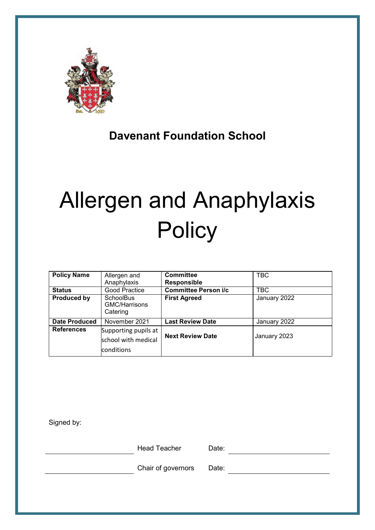

## **Davenant Foundation School**

# Allergen and Anaphylaxis **Policy**

| <b>Policy Name</b>   | Allergen and<br>Anaphylaxis                               | <b>Committee</b><br><b>Responsible</b> | <b>TBC</b>   |
|----------------------|-----------------------------------------------------------|----------------------------------------|--------------|
| <b>Status</b>        | Good Practice                                             | <b>Committee Person i/c</b>            | <b>TBC</b>   |
| <b>Produced by</b>   | <b>SchoolBus</b><br><b>GMC/Harrisons</b><br>Catering      | <b>First Agreed</b>                    | January 2022 |
| <b>Date Produced</b> | November 2021                                             | <b>Last Review Date</b>                | January 2022 |
| <b>References</b>    | Supporting pupils at<br>school with medical<br>conditions | <b>Next Review Date</b>                | January 2023 |

Signed by:

Head Teacher Date:

Chair of governors Date: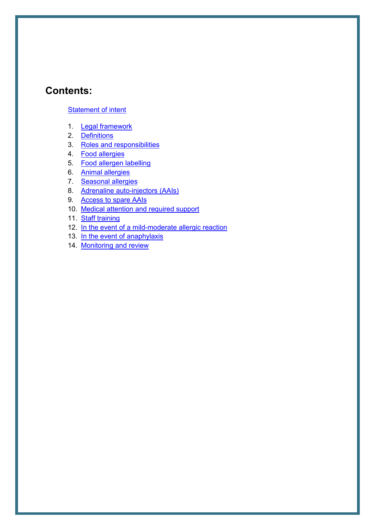## **Contents:**

#### [Statement of intent](#page-2-0)

- 1. [Legal framework](#page-3-0)
- 2. [Definitions](#page-3-1)
- 3. [Roles and responsibilities](#page-4-0)
- 4. [Food allergies](#page-8-0)
- 5. [Food allergen labelling](#page-9-0)
- 6. [Animal allergies](#page-11-0)
- 7. [Seasonal allergies](#page-11-1)
- 8. [Adrenaline auto-injectors \(AAIs\)](#page-12-0)
- 9. [Access to spare AAIs](#page-13-0)
- 10. [Medical attention and required support](#page-14-0)
- 11. [Staff training](#page-15-0)
- 12. [In the event of a mild-moderate allergic reaction](#page-15-1)
- 13. [In the event of anaphylaxis](#page-16-0)
- 14. [Monitoring and review](#page-18-0)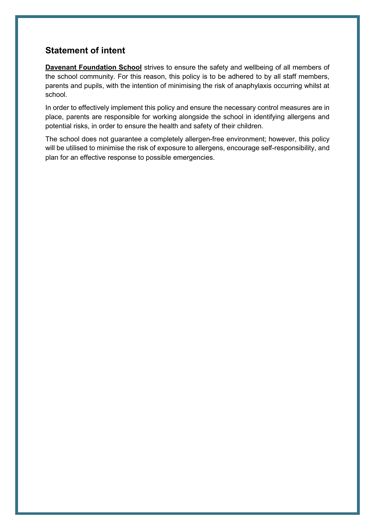## <span id="page-2-0"></span>**Statement of intent**

**Davenant Foundation School** strives to ensure the safety and wellbeing of all members of the school community. For this reason, this policy is to be adhered to by all staff members, parents and pupils, with the intention of minimising the risk of anaphylaxis occurring whilst at school.

In order to effectively implement this policy and ensure the necessary control measures are in place, parents are responsible for working alongside the school in identifying allergens and potential risks, in order to ensure the health and safety of their children.

The school does not guarantee a completely allergen-free environment; however, this policy will be utilised to minimise the risk of exposure to allergens, encourage self-responsibility, and plan for an effective response to possible emergencies.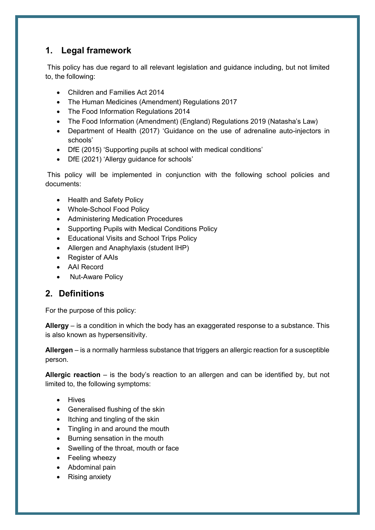## <span id="page-3-0"></span>**1. Legal framework**

This policy has due regard to all relevant legislation and guidance including, but not limited to, the following:

- Children and Families Act 2014
- The Human Medicines (Amendment) Regulations 2017
- The Food Information Regulations 2014
- The Food Information (Amendment) (England) Regulations 2019 (Natasha's Law)
- Department of Health (2017) 'Guidance on the use of adrenaline auto-injectors in schools'
- DfE (2015) 'Supporting pupils at school with medical conditions'
- DfE (2021) 'Allergy guidance for schools'

This policy will be implemented in conjunction with the following school policies and documents:

- Health and Safety Policy
- Whole-School Food Policy
- Administering Medication Procedures
- Supporting Pupils with Medical Conditions Policy
- Educational Visits and School Trips Policy
- Allergen and Anaphylaxis (student IHP)
- Register of AAIs
- AAI Record
- Nut-Aware Policy

## <span id="page-3-1"></span>**2. Definitions**

For the purpose of this policy:

**Allergy** – is a condition in which the body has an exaggerated response to a substance. This is also known as hypersensitivity.

**Allergen** – is a normally harmless substance that triggers an allergic reaction for a susceptible person.

**Allergic reaction** – is the body's reaction to an allergen and can be identified by, but not limited to, the following symptoms:

- Hives
- Generalised flushing of the skin
- $\bullet$  Itching and tingling of the skin
- Tingling in and around the mouth
- Burning sensation in the mouth
- Swelling of the throat, mouth or face
- Feeling wheezy
- Abdominal pain
- Rising anxiety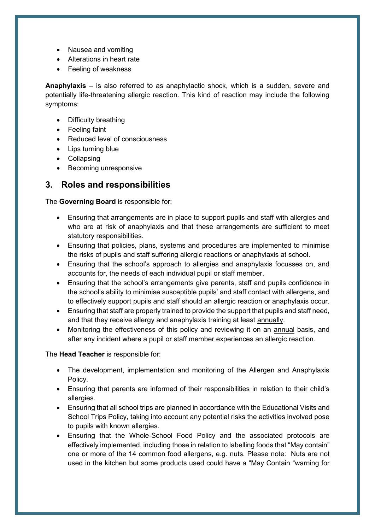- Nausea and vomiting
- Alterations in heart rate
- Feeling of weakness

**Anaphylaxis** – is also referred to as anaphylactic shock, which is a sudden, severe and potentially life-threatening allergic reaction. This kind of reaction may include the following symptoms:

- Difficulty breathing
- Feeling faint
- Reduced level of consciousness
- Lips turning blue
- Collapsing
- Becoming unresponsive

## <span id="page-4-0"></span>**3. Roles and responsibilities**

The **Governing Board** is responsible for:

- Ensuring that arrangements are in place to support pupils and staff with allergies and who are at risk of anaphylaxis and that these arrangements are sufficient to meet statutory responsibilities.
- Ensuring that policies, plans, systems and procedures are implemented to minimise the risks of pupils and staff suffering allergic reactions or anaphylaxis at school.
- Ensuring that the school's approach to allergies and anaphylaxis focusses on, and accounts for, the needs of each individual pupil or staff member.
- Ensuring that the school's arrangements give parents, staff and pupils confidence in the school's ability to minimise susceptible pupils' and staff contact with allergens, and to effectively support pupils and staff should an allergic reaction or anaphylaxis occur.
- Ensuring that staff are properly trained to provide the support that pupils and staff need, and that they receive allergy and anaphylaxis training at least annually.
- Monitoring the effectiveness of this policy and reviewing it on an annual basis, and after any incident where a pupil or staff member experiences an allergic reaction.

The **Head Teacher** is responsible for:

- The development, implementation and monitoring of the Allergen and Anaphylaxis Policy.
- Ensuring that parents are informed of their responsibilities in relation to their child's allergies.
- Ensuring that all school trips are planned in accordance with the Educational Visits and School Trips Policy, taking into account any potential risks the activities involved pose to pupils with known allergies.
- Ensuring that the Whole-School Food Policy and the associated protocols are effectively implemented, including those in relation to labelling foods that "May contain" one or more of the 14 common food allergens, e.g. nuts. Please note: Nuts are not used in the kitchen but some products used could have a "May Contain "warning for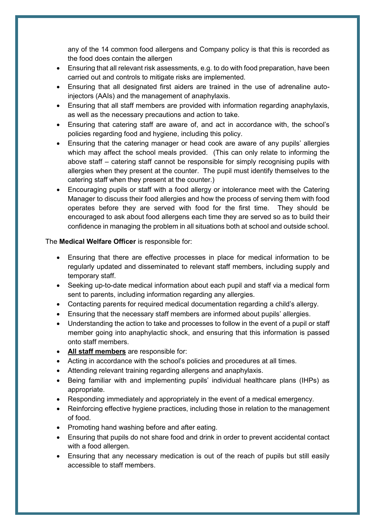any of the 14 common food allergens and Company policy is that this is recorded as the food does contain the allergen

- Ensuring that all relevant risk assessments, e.g. to do with food preparation, have been carried out and controls to mitigate risks are implemented.
- Ensuring that all designated first aiders are trained in the use of adrenaline autoinjectors (AAIs) and the management of anaphylaxis.
- Ensuring that all staff members are provided with information regarding anaphylaxis, as well as the necessary precautions and action to take.
- Ensuring that catering staff are aware of, and act in accordance with, the school's policies regarding food and hygiene, including this policy.
- Ensuring that the catering manager or head cook are aware of any pupils' allergies which may affect the school meals provided. (This can only relate to informing the above staff – catering staff cannot be responsible for simply recognising pupils with allergies when they present at the counter. The pupil must identify themselves to the catering staff when they present at the counter.)
- Encouraging pupils or staff with a food allergy or intolerance meet with the Catering Manager to discuss their food allergies and how the process of serving them with food operates before they are served with food for the first time. They should be encouraged to ask about food allergens each time they are served so as to build their confidence in managing the problem in all situations both at school and outside school.

#### The **Medical Welfare Officer** is responsible for:

- Ensuring that there are effective processes in place for medical information to be regularly updated and disseminated to relevant staff members, including supply and temporary staff.
- Seeking up-to-date medical information about each pupil and staff via a medical form sent to parents, including information regarding any allergies.
- Contacting parents for required medical documentation regarding a child's allergy.
- Ensuring that the necessary staff members are informed about pupils' allergies.
- Understanding the action to take and processes to follow in the event of a pupil or staff member going into anaphylactic shock, and ensuring that this information is passed onto staff members.
- **All staff members** are responsible for:
- Acting in accordance with the school's policies and procedures at all times.
- Attending relevant training regarding allergens and anaphylaxis.
- Being familiar with and implementing pupils' individual healthcare plans (IHPs) as appropriate.
- Responding immediately and appropriately in the event of a medical emergency.
- Reinforcing effective hygiene practices, including those in relation to the management of food.
- Promoting hand washing before and after eating.
- Ensuring that pupils do not share food and drink in order to prevent accidental contact with a food allergen.
- Ensuring that any necessary medication is out of the reach of pupils but still easily accessible to staff members.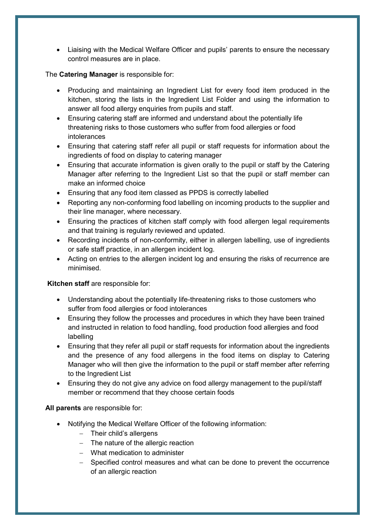Liaising with the Medical Welfare Officer and pupils' parents to ensure the necessary control measures are in place.

#### The **Catering Manager** is responsible for:

- Producing and maintaining an Ingredient List for every food item produced in the kitchen, storing the lists in the Ingredient List Folder and using the information to answer all food allergy enquiries from pupils and staff.
- Ensuring catering staff are informed and understand about the potentially life threatening risks to those customers who suffer from food allergies or food intolerances
- Ensuring that catering staff refer all pupil or staff requests for information about the ingredients of food on display to catering manager
- Ensuring that accurate information is given orally to the pupil or staff by the Catering Manager after referring to the Ingredient List so that the pupil or staff member can make an informed choice
- Ensuring that any food item classed as PPDS is correctly labelled
- Reporting any non-conforming food labelling on incoming products to the supplier and their line manager, where necessary.
- Ensuring the practices of kitchen staff comply with food allergen legal requirements and that training is regularly reviewed and updated.
- Recording incidents of non-conformity, either in allergen labelling, use of ingredients or safe staff practice, in an allergen incident log.
- Acting on entries to the allergen incident log and ensuring the risks of recurrence are minimised.

#### **Kitchen staff** are responsible for:

- Understanding about the potentially life-threatening risks to those customers who suffer from food allergies or food intolerances
- Ensuring they follow the processes and procedures in which they have been trained and instructed in relation to food handling, food production food allergies and food labelling
- Ensuring that they refer all pupil or staff requests for information about the ingredients and the presence of any food allergens in the food items on display to Catering Manager who will then give the information to the pupil or staff member after referring to the Ingredient List
- Ensuring they do not give any advice on food allergy management to the pupil/staff member or recommend that they choose certain foods

**All parents** are responsible for:

- Notifying the Medical Welfare Officer of the following information:
	- $-$  Their child's allergens
	- $-$  The nature of the allergic reaction
	- What medication to administer
	- Specified control measures and what can be done to prevent the occurrence of an allergic reaction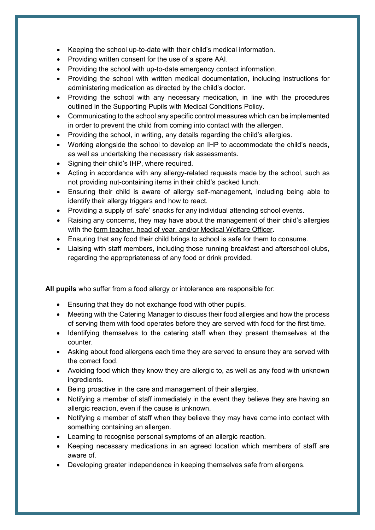- Keeping the school up-to-date with their child's medical information.
- Providing written consent for the use of a spare AAI.
- Providing the school with up-to-date emergency contact information.
- Providing the school with written medical documentation, including instructions for administering medication as directed by the child's doctor.
- Providing the school with any necessary medication, in line with the procedures outlined in the Supporting Pupils with Medical Conditions Policy.
- Communicating to the school any specific control measures which can be implemented in order to prevent the child from coming into contact with the allergen.
- Providing the school, in writing, any details regarding the child's allergies.
- Working alongside the school to develop an IHP to accommodate the child's needs, as well as undertaking the necessary risk assessments.
- Signing their child's IHP, where required.
- Acting in accordance with any allergy-related requests made by the school, such as not providing nut-containing items in their child's packed lunch.
- Ensuring their child is aware of allergy self-management, including being able to identify their allergy triggers and how to react.
- Providing a supply of 'safe' snacks for any individual attending school events.
- Raising any concerns, they may have about the management of their child's allergies with the form teacher, head of year, and/or Medical Welfare Officer.
- Ensuring that any food their child brings to school is safe for them to consume.
- Liaising with staff members, including those running breakfast and afterschool clubs, regarding the appropriateness of any food or drink provided.

**All pupils** who suffer from a food allergy or intolerance are responsible for:

- Ensuring that they do not exchange food with other pupils.
- Meeting with the Catering Manager to discuss their food allergies and how the process of serving them with food operates before they are served with food for the first time.
- Identifying themselves to the catering staff when they present themselves at the counter.
- Asking about food allergens each time they are served to ensure they are served with the correct food.
- Avoiding food which they know they are allergic to, as well as any food with unknown ingredients.
- Being proactive in the care and management of their allergies.
- Notifying a member of staff immediately in the event they believe they are having an allergic reaction, even if the cause is unknown.
- Notifying a member of staff when they believe they may have come into contact with something containing an allergen.
- Learning to recognise personal symptoms of an allergic reaction.
- Keeping necessary medications in an agreed location which members of staff are aware of.
- Developing greater independence in keeping themselves safe from allergens.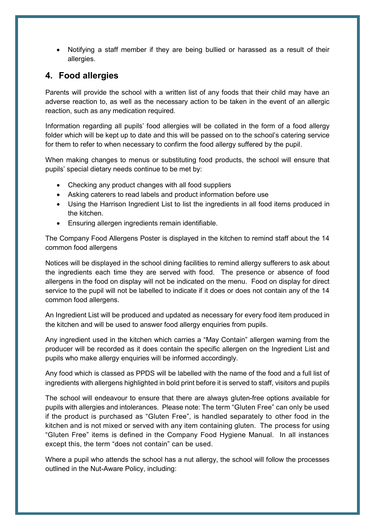Notifying a staff member if they are being bullied or harassed as a result of their allergies.

## <span id="page-8-0"></span>**4. Food allergies**

Parents will provide the school with a written list of any foods that their child may have an adverse reaction to, as well as the necessary action to be taken in the event of an allergic reaction, such as any medication required.

Information regarding all pupils' food allergies will be collated in the form of a food allergy folder which will be kept up to date and this will be passed on to the school's catering service for them to refer to when necessary to confirm the food allergy suffered by the pupil.

When making changes to menus or substituting food products, the school will ensure that pupils' special dietary needs continue to be met by:

- Checking any product changes with all food suppliers
- Asking caterers to read labels and product information before use
- Using the Harrison Ingredient List to list the ingredients in all food items produced in the kitchen.
- Ensuring allergen ingredients remain identifiable.

The Company Food Allergens Poster is displayed in the kitchen to remind staff about the 14 common food allergens

Notices will be displayed in the school dining facilities to remind allergy sufferers to ask about the ingredients each time they are served with food. The presence or absence of food allergens in the food on display will not be indicated on the menu. Food on display for direct service to the pupil will not be labelled to indicate if it does or does not contain any of the 14 common food allergens.

An Ingredient List will be produced and updated as necessary for every food item produced in the kitchen and will be used to answer food allergy enquiries from pupils.

Any ingredient used in the kitchen which carries a "May Contain" allergen warning from the producer will be recorded as it does contain the specific allergen on the Ingredient List and pupils who make allergy enquiries will be informed accordingly.

Any food which is classed as PPDS will be labelled with the name of the food and a full list of ingredients with allergens highlighted in bold print before it is served to staff, visitors and pupils

The school will endeavour to ensure that there are always gluten-free options available for pupils with allergies and intolerances. Please note: The term "Gluten Free" can only be used if the product is purchased as "Gluten Free", is handled separately to other food in the kitchen and is not mixed or served with any item containing gluten. The process for using "Gluten Free" items is defined in the Company Food Hygiene Manual. In all instances except this, the term "does not contain" can be used.

Where a pupil who attends the school has a nut allergy, the school will follow the processes outlined in the Nut-Aware Policy, including: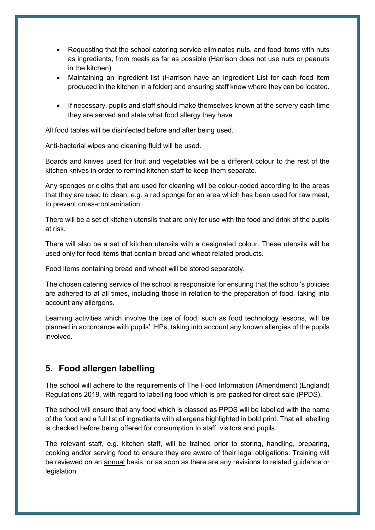- Requesting that the school catering service eliminates nuts, and food items with nuts as ingredients, from meals as far as possible (Harrison does not use nuts or peanuts in the kitchen)
- Maintaining an ingredient list (Harrison have an Ingredient List for each food item produced in the kitchen in a folder) and ensuring staff know where they can be located.
- If necessary, pupils and staff should make themselves known at the servery each time they are served and state what food allergy they have.

All food tables will be disinfected before and after being used.

Anti-bacterial wipes and cleaning fluid will be used.

Boards and knives used for fruit and vegetables will be a different colour to the rest of the kitchen knives in order to remind kitchen staff to keep them separate.

Any sponges or cloths that are used for cleaning will be colour-coded according to the areas that they are used to clean, e.g. a red sponge for an area which has been used for raw meat, to prevent cross-contamination.

There will be a set of kitchen utensils that are only for use with the food and drink of the pupils at risk.

There will also be a set of kitchen utensils with a designated colour. These utensils will be used only for food items that contain bread and wheat related products.

Food items containing bread and wheat will be stored separately.

The chosen catering service of the school is responsible for ensuring that the school's policies are adhered to at all times, including those in relation to the preparation of food, taking into account any allergens.

Learning activities which involve the use of food, such as food technology lessons, will be planned in accordance with pupils' IHPs, taking into account any known allergies of the pupils involved.

## <span id="page-9-0"></span>**5. Food allergen labelling**

The school will adhere to the requirements of The Food Information (Amendment) (England) Regulations 2019, with regard to labelling food which is pre-packed for direct sale (PPDS).

The school will ensure that any food which is classed as PPDS will be labelled with the name of the food and a full list of ingredients with allergens highlighted in bold print. That all labelling is checked before being offered for consumption to staff, visitors and pupils.

The relevant staff, e.g. kitchen staff, will be trained prior to storing, handling, preparing, cooking and/or serving food to ensure they are aware of their legal obligations. Training will be reviewed on an annual basis, or as soon as there are any revisions to related guidance or legislation.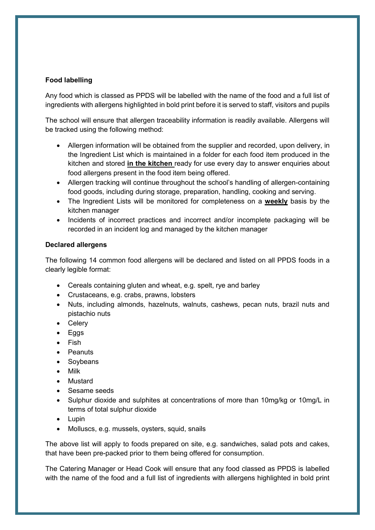#### **Food labelling**

Any food which is classed as PPDS will be labelled with the name of the food and a full list of ingredients with allergens highlighted in bold print before it is served to staff, visitors and pupils

The school will ensure that allergen traceability information is readily available. Allergens will be tracked using the following method:

- Allergen information will be obtained from the supplier and recorded, upon delivery, in the Ingredient List which is maintained in a folder for each food item produced in the kitchen and stored **in the kitchen** ready for use every day to answer enquiries about food allergens present in the food item being offered.
- Allergen tracking will continue throughout the school's handling of allergen-containing food goods, including during storage, preparation, handling, cooking and serving.
- The Ingredient Lists will be monitored for completeness on a **weekly** basis by the kitchen manager
- Incidents of incorrect practices and incorrect and/or incomplete packaging will be recorded in an incident log and managed by the kitchen manager

#### **Declared allergens**

The following 14 common food allergens will be declared and listed on all PPDS foods in a clearly legible format:

- Cereals containing gluten and wheat, e.g. spelt, rye and barley
- Crustaceans, e.g. crabs, prawns, lobsters
- Nuts, including almonds, hazelnuts, walnuts, cashews, pecan nuts, brazil nuts and pistachio nuts
- Celery
- $\bullet$  Eggs
- $\bullet$  Fish
- Peanuts
- Soybeans
- Milk
- **.** Mustard
- Sesame seeds
- Sulphur dioxide and sulphites at concentrations of more than 10mg/kg or 10mg/L in terms of total sulphur dioxide
- Lupin
- Molluscs, e.g. mussels, oysters, squid, snails

The above list will apply to foods prepared on site, e.g. sandwiches, salad pots and cakes, that have been pre-packed prior to them being offered for consumption.

The Catering Manager or Head Cook will ensure that any food classed as PPDS is labelled with the name of the food and a full list of ingredients with allergens highlighted in bold print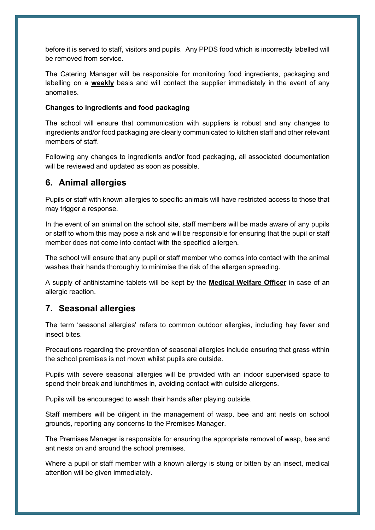before it is served to staff, visitors and pupils. Any PPDS food which is incorrectly labelled will be removed from service.

The Catering Manager will be responsible for monitoring food ingredients, packaging and labelling on a **weekly** basis and will contact the supplier immediately in the event of any anomalies.

#### **Changes to ingredients and food packaging**

The school will ensure that communication with suppliers is robust and any changes to ingredients and/or food packaging are clearly communicated to kitchen staff and other relevant members of staff.

Following any changes to ingredients and/or food packaging, all associated documentation will be reviewed and updated as soon as possible.

## <span id="page-11-0"></span>**6. Animal allergies**

Pupils or staff with known allergies to specific animals will have restricted access to those that may trigger a response.

In the event of an animal on the school site, staff members will be made aware of any pupils or staff to whom this may pose a risk and will be responsible for ensuring that the pupil or staff member does not come into contact with the specified allergen.

The school will ensure that any pupil or staff member who comes into contact with the animal washes their hands thoroughly to minimise the risk of the allergen spreading.

A supply of antihistamine tablets will be kept by the **Medical Welfare Officer** in case of an allergic reaction.

### <span id="page-11-1"></span>**7. Seasonal allergies**

The term 'seasonal allergies' refers to common outdoor allergies, including hay fever and insect bites.

Precautions regarding the prevention of seasonal allergies include ensuring that grass within the school premises is not mown whilst pupils are outside.

Pupils with severe seasonal allergies will be provided with an indoor supervised space to spend their break and lunchtimes in, avoiding contact with outside allergens.

Pupils will be encouraged to wash their hands after playing outside.

Staff members will be diligent in the management of wasp, bee and ant nests on school grounds, reporting any concerns to the Premises Manager.

The Premises Manager is responsible for ensuring the appropriate removal of wasp, bee and ant nests on and around the school premises.

Where a pupil or staff member with a known allergy is stung or bitten by an insect, medical attention will be given immediately.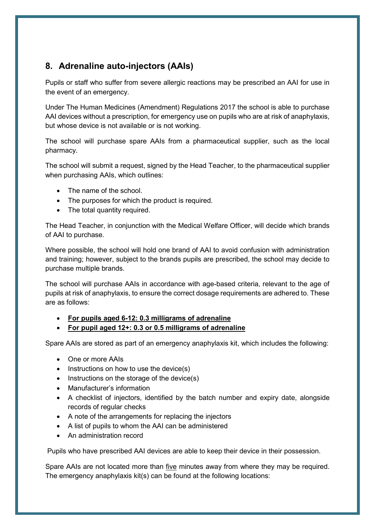## <span id="page-12-0"></span>**8. Adrenaline auto-injectors (AAIs)**

Pupils or staff who suffer from severe allergic reactions may be prescribed an AAI for use in the event of an emergency.

Under The Human Medicines (Amendment) Regulations 2017 the school is able to purchase AAI devices without a prescription, for emergency use on pupils who are at risk of anaphylaxis, but whose device is not available or is not working.

The school will purchase spare AAIs from a pharmaceutical supplier, such as the local pharmacy.

The school will submit a request, signed by the Head Teacher, to the pharmaceutical supplier when purchasing AAIs, which outlines:

- The name of the school.
- The purposes for which the product is required.
- The total quantity required.

The Head Teacher, in conjunction with the Medical Welfare Officer, will decide which brands of AAI to purchase.

Where possible, the school will hold one brand of AAI to avoid confusion with administration and training; however, subject to the brands pupils are prescribed, the school may decide to purchase multiple brands.

The school will purchase AAIs in accordance with age-based criteria, relevant to the age of pupils at risk of anaphylaxis, to ensure the correct dosage requirements are adhered to. These are as follows:

- **For pupils aged 6-12: 0.3 milligrams of adrenaline**
- **For pupil aged 12+: 0.3 or 0.5 milligrams of adrenaline**

Spare AAIs are stored as part of an emergency anaphylaxis kit, which includes the following:

- One or more AAIs
- $\bullet$  Instructions on how to use the device(s)
- $\bullet$  Instructions on the storage of the device(s)
- Manufacturer's information
- A checklist of injectors, identified by the batch number and expiry date, alongside records of regular checks
- A note of the arrangements for replacing the injectors
- A list of pupils to whom the AAI can be administered
- An administration record

Pupils who have prescribed AAI devices are able to keep their device in their possession.

Spare AAIs are not located more than five minutes away from where they may be required. The emergency anaphylaxis kit(s) can be found at the following locations: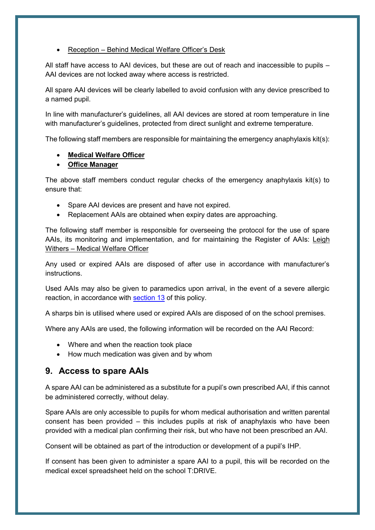#### • Reception – Behind Medical Welfare Officer's Desk

All staff have access to AAI devices, but these are out of reach and inaccessible to pupils – AAI devices are not locked away where access is restricted.

All spare AAI devices will be clearly labelled to avoid confusion with any device prescribed to a named pupil.

In line with manufacturer's guidelines, all AAI devices are stored at room temperature in line with manufacturer's guidelines, protected from direct sunlight and extreme temperature.

The following staff members are responsible for maintaining the emergency anaphylaxis kit(s):

#### **Medical Welfare Officer**

#### **Office Manager**

The above staff members conduct regular checks of the emergency anaphylaxis kit(s) to ensure that:

- Spare AAI devices are present and have not expired.
- Replacement AAIs are obtained when expiry dates are approaching.

The following staff member is responsible for overseeing the protocol for the use of spare AAIs, its monitoring and implementation, and for maintaining the Register of AAIs: Leigh Withers – Medical Welfare Officer

Any used or expired AAIs are disposed of after use in accordance with manufacturer's instructions.

Used AAIs may also be given to paramedics upon arrival, in the event of a severe allergic reaction, in accordance with [section 13](#page-16-0) of this policy.

A sharps bin is utilised where used or expired AAIs are disposed of on the school premises.

Where any AAIs are used, the following information will be recorded on the AAI Record:

- Where and when the reaction took place
- How much medication was given and by whom

## <span id="page-13-0"></span>**9. Access to spare AAIs**

A spare AAI can be administered as a substitute for a pupil's own prescribed AAI, if this cannot be administered correctly, without delay.

Spare AAIs are only accessible to pupils for whom medical authorisation and written parental consent has been provided – this includes pupils at risk of anaphylaxis who have been provided with a medical plan confirming their risk, but who have not been prescribed an AAI.

Consent will be obtained as part of the introduction or development of a pupil's IHP.

If consent has been given to administer a spare AAI to a pupil, this will be recorded on the medical excel spreadsheet held on the school T:DRIVE.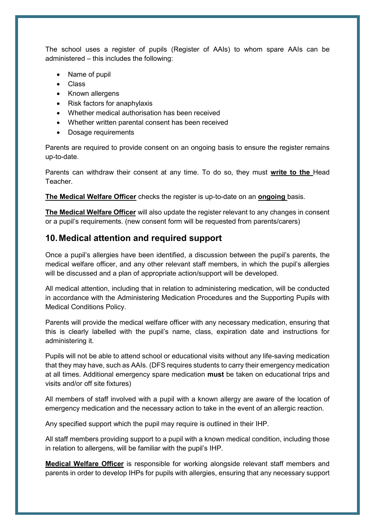The school uses a register of pupils (Register of AAIs) to whom spare AAIs can be administered – this includes the following:

- Name of pupil
- Class
- Known allergens
- Risk factors for anaphylaxis
- Whether medical authorisation has been received
- Whether written parental consent has been received
- Dosage requirements

Parents are required to provide consent on an ongoing basis to ensure the register remains up-to-date.

Parents can withdraw their consent at any time. To do so, they must **write to the** Head Teacher.

**The Medical Welfare Officer** checks the register is up-to-date on an **ongoing** basis.

**The Medical Welfare Officer** will also update the register relevant to any changes in consent or a pupil's requirements. (new consent form will be requested from parents/carers)

## <span id="page-14-0"></span>**10.Medical attention and required support**

Once a pupil's allergies have been identified, a discussion between the pupil's parents, the medical welfare officer, and any other relevant staff members, in which the pupil's allergies will be discussed and a plan of appropriate action/support will be developed.

All medical attention, including that in relation to administering medication, will be conducted in accordance with the Administering Medication Procedures and the Supporting Pupils with Medical Conditions Policy.

Parents will provide the medical welfare officer with any necessary medication, ensuring that this is clearly labelled with the pupil's name, class, expiration date and instructions for administering it.

Pupils will not be able to attend school or educational visits without any life-saving medication that they may have, such as AAIs. (DFS requires students to carry their emergency medication at all times. Additional emergency spare medication **must** be taken on educational trips and visits and/or off site fixtures)

All members of staff involved with a pupil with a known allergy are aware of the location of emergency medication and the necessary action to take in the event of an allergic reaction.

Any specified support which the pupil may require is outlined in their IHP.

All staff members providing support to a pupil with a known medical condition, including those in relation to allergens, will be familiar with the pupil's IHP.

**Medical Welfare Officer** is responsible for working alongside relevant staff members and parents in order to develop IHPs for pupils with allergies, ensuring that any necessary support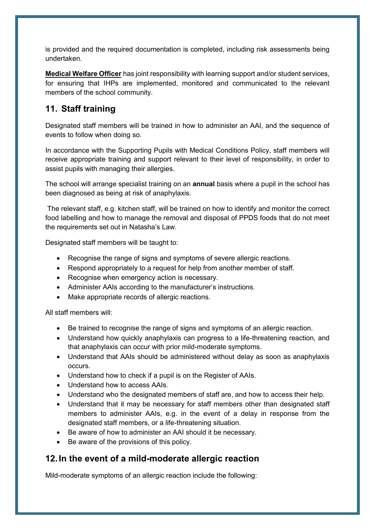is provided and the required documentation is completed, including risk assessments being undertaken.

**Medical Welfare Officer** has joint responsibility with learning support and/or student services, for ensuring that IHPs are implemented, monitored and communicated to the relevant members of the school community.

## <span id="page-15-0"></span>**11. Staff training**

Designated staff members will be trained in how to administer an AAI, and the sequence of events to follow when doing so.

In accordance with the Supporting Pupils with Medical Conditions Policy, staff members will receive appropriate training and support relevant to their level of responsibility, in order to assist pupils with managing their allergies.

The school will arrange specialist training on an **annual** basis where a pupil in the school has been diagnosed as being at risk of anaphylaxis.

The relevant staff, e.g. kitchen staff, will be trained on how to identify and monitor the correct food labelling and how to manage the removal and disposal of PPDS foods that do not meet the requirements set out in Natasha's Law.

Designated staff members will be taught to:

- Recognise the range of signs and symptoms of severe allergic reactions.
- Respond appropriately to a request for help from another member of staff.
- Recognise when emergency action is necessary.
- Administer AAIs according to the manufacturer's instructions.
- Make appropriate records of allergic reactions.

All staff members will:

- Be trained to recognise the range of signs and symptoms of an allergic reaction.
- Understand how quickly anaphylaxis can progress to a life-threatening reaction, and that anaphylaxis can occur with prior mild-moderate symptoms.
- Understand that AAIs should be administered without delay as soon as anaphylaxis occurs.
- Understand how to check if a pupil is on the Register of AAIs.
- Understand how to access AAIs.
- Understand who the designated members of staff are, and how to access their help.
- Understand that it may be necessary for staff members other than designated staff members to administer AAIs, e.g. in the event of a delay in response from the designated staff members, or a life-threatening situation.
- Be aware of how to administer an AAI should it be necessary.
- Be aware of the provisions of this policy.

## <span id="page-15-1"></span>**12.In the event of a mild-moderate allergic reaction**

Mild-moderate symptoms of an allergic reaction include the following: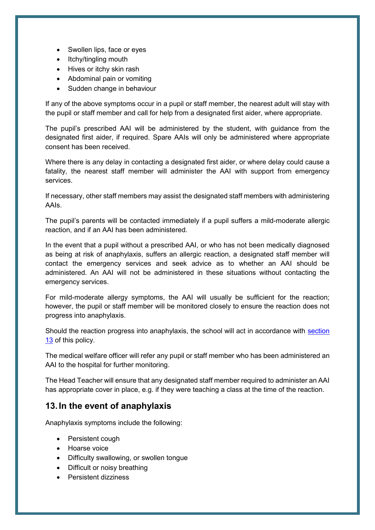- Swollen lips, face or eyes
- Itchy/tingling mouth
- Hives or itchy skin rash
- Abdominal pain or vomiting
- Sudden change in behaviour

If any of the above symptoms occur in a pupil or staff member, the nearest adult will stay with the pupil or staff member and call for help from a designated first aider, where appropriate.

The pupil's prescribed AAI will be administered by the student, with guidance from the designated first aider, if required. Spare AAIs will only be administered where appropriate consent has been received.

Where there is any delay in contacting a designated first aider, or where delay could cause a fatality, the nearest staff member will administer the AAI with support from emergency services.

If necessary, other staff members may assist the designated staff members with administering AAIs.

The pupil's parents will be contacted immediately if a pupil suffers a mild-moderate allergic reaction, and if an AAI has been administered.

In the event that a pupil without a prescribed AAI, or who has not been medically diagnosed as being at risk of anaphylaxis, suffers an allergic reaction, a designated staff member will contact the emergency services and seek advice as to whether an AAI should be administered. An AAI will not be administered in these situations without contacting the emergency services.

For mild-moderate allergy symptoms, the AAI will usually be sufficient for the reaction; however, the pupil or staff member will be monitored closely to ensure the reaction does not progress into anaphylaxis.

Should the reaction progress into anaphylaxis, the school will act in accordance with [section](#page-16-0)  [13](#page-16-0) of this policy.

The medical welfare officer will refer any pupil or staff member who has been administered an AAI to the hospital for further monitoring.

The Head Teacher will ensure that any designated staff member required to administer an AAI has appropriate cover in place, e.g. if they were teaching a class at the time of the reaction.

## <span id="page-16-0"></span>**13.In the event of anaphylaxis**

Anaphylaxis symptoms include the following:

- Persistent cough
- Hoarse voice
- Difficulty swallowing, or swollen tongue
- Difficult or noisy breathing
- Persistent dizziness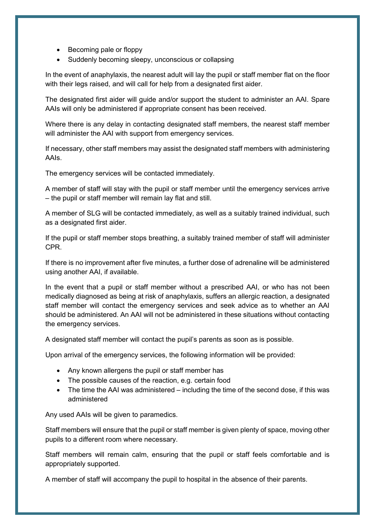- Becoming pale or floppy
- Suddenly becoming sleepy, unconscious or collapsing

In the event of anaphylaxis, the nearest adult will lay the pupil or staff member flat on the floor with their legs raised, and will call for help from a designated first aider.

The designated first aider will guide and/or support the student to administer an AAI. Spare AAIs will only be administered if appropriate consent has been received.

Where there is any delay in contacting designated staff members, the nearest staff member will administer the AAI with support from emergency services.

If necessary, other staff members may assist the designated staff members with administering AAIs.

The emergency services will be contacted immediately.

A member of staff will stay with the pupil or staff member until the emergency services arrive – the pupil or staff member will remain lay flat and still.

A member of SLG will be contacted immediately, as well as a suitably trained individual, such as a designated first aider.

If the pupil or staff member stops breathing, a suitably trained member of staff will administer CPR.

If there is no improvement after five minutes, a further dose of adrenaline will be administered using another AAI, if available.

In the event that a pupil or staff member without a prescribed AAI, or who has not been medically diagnosed as being at risk of anaphylaxis, suffers an allergic reaction, a designated staff member will contact the emergency services and seek advice as to whether an AAI should be administered. An AAI will not be administered in these situations without contacting the emergency services.

A designated staff member will contact the pupil's parents as soon as is possible.

Upon arrival of the emergency services, the following information will be provided:

- Any known allergens the pupil or staff member has
- The possible causes of the reaction, e.g. certain food
- The time the AAI was administered including the time of the second dose, if this was administered

Any used AAIs will be given to paramedics.

Staff members will ensure that the pupil or staff member is given plenty of space, moving other pupils to a different room where necessary.

Staff members will remain calm, ensuring that the pupil or staff feels comfortable and is appropriately supported.

A member of staff will accompany the pupil to hospital in the absence of their parents.